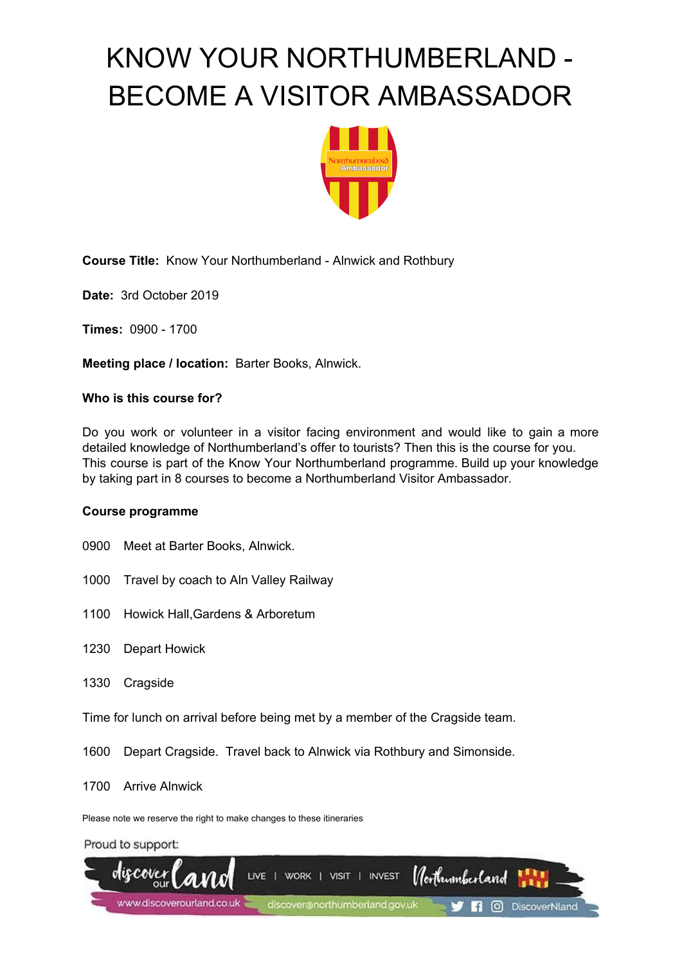

**Course Title:** Know Your Northumberland - Alnwick and Rothbury

**Date:** 3rd October 2019

**Times:** 0900 - 1700

**Meeting place / location:** Barter Books, Alnwick.

## **Who is this course for?**

Do you work or volunteer in a visitor facing environment and would like to gain a more detailed knowledge of Northumberland's offer to tourists? Then this is the course for you. This course is part of the Know Your Northumberland programme. Build up your knowledge by taking part in 8 courses to become a Northumberland Visitor Ambassador.

## **Course programme**

- 0900 Meet at Barter Books, Alnwick.
- 1000 Travel by coach to Aln Valley Railway
- 1100 Howick Hall,Gardens & Arboretum
- 1230 Depart Howick
- 1330 Cragside

Time for lunch on arrival before being met by a member of the Cragside team.

1600 Depart Cragside. Travel back to Alnwick via Rothbury and Simonside.

1700 Arrive Alnwick

Please note we reserve the right to make changes to these itineraries

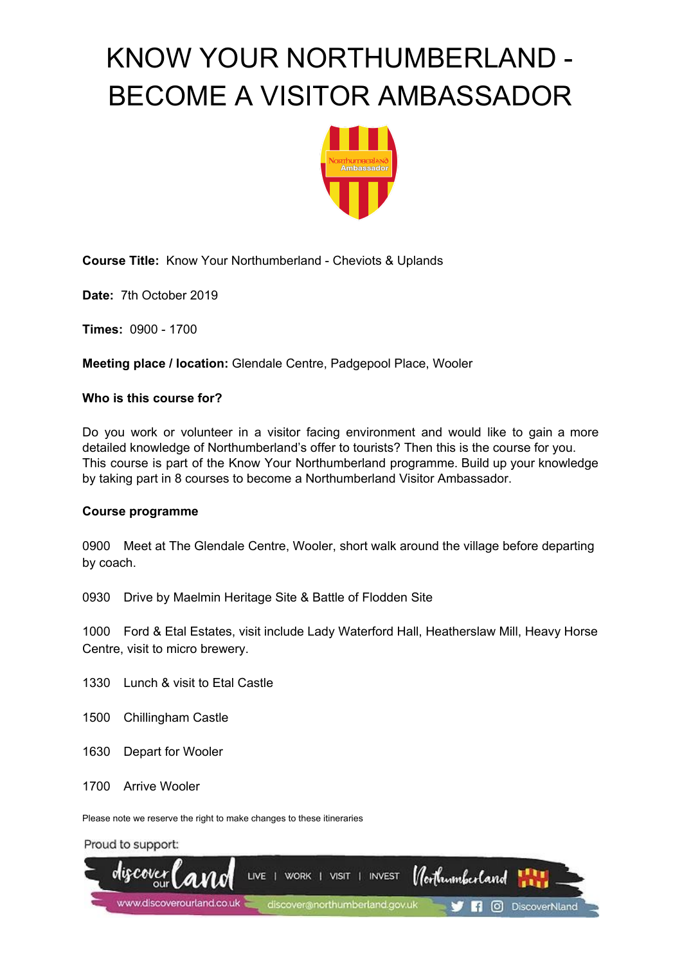

**Course Title:** Know Your Northumberland - Cheviots & Uplands

**Date:** 7th October 2019

**Times:** 0900 - 1700

**Meeting place / location:** Glendale Centre, Padgepool Place, Wooler

## **Who is this course for?**

Do you work or volunteer in a visitor facing environment and would like to gain a more detailed knowledge of Northumberland's offer to tourists? Then this is the course for you. This course is part of the Know Your Northumberland programme. Build up your knowledge by taking part in 8 courses to become a Northumberland Visitor Ambassador.

## **Course programme**

0900 Meet at The Glendale Centre, Wooler, short walk around the village before departing by coach.

0930 Drive by Maelmin Heritage Site & Battle of Flodden Site

1000 Ford & Etal Estates, visit include Lady Waterford Hall, Heatherslaw Mill, Heavy Horse Centre, visit to micro brewery.

- 1330 Lunch & visit to Etal Castle
- 1500 Chillingham Castle
- 1630 Depart for Wooler
- 1700 Arrive Wooler

Please note we reserve the right to make changes to these itineraries

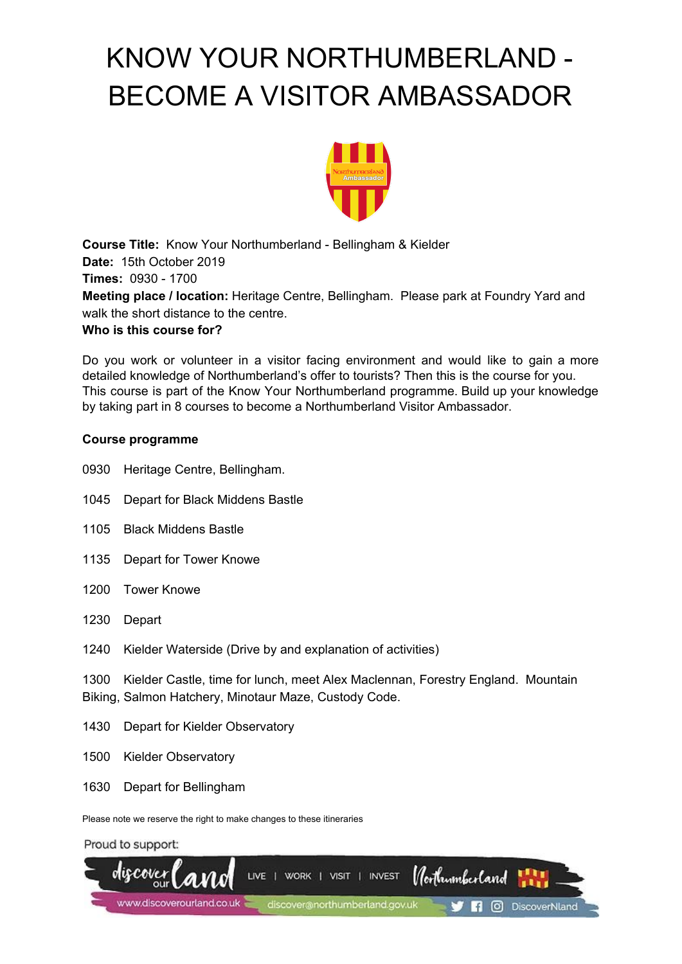

**Course Title:** Know Your Northumberland - Bellingham & Kielder **Date:** 15th October 2019 **Times:** 0930 - 1700 **Meeting place / location:** Heritage Centre, Bellingham. Please park at Foundry Yard and walk the short distance to the centre.

## **Who is this course for?**

Do you work or volunteer in a visitor facing environment and would like to gain a more detailed knowledge of Northumberland's offer to tourists? Then this is the course for you. This course is part of the Know Your Northumberland programme. Build up your knowledge by taking part in 8 courses to become a Northumberland Visitor Ambassador.

## **Course programme**

- 0930 Heritage Centre, Bellingham.
- 1045 Depart for Black Middens Bastle
- 1105 Black Middens Bastle
- 1135 Depart for Tower Knowe
- 1200 Tower Knowe
- 1230 Depart
- 1240 Kielder Waterside (Drive by and explanation of activities)

1300 Kielder Castle, time for lunch, meet Alex Maclennan, Forestry England. Mountain Biking, Salmon Hatchery, Minotaur Maze, Custody Code.

- 1430 Depart for Kielder Observatory
- 1500 Kielder Observatory
- 1630 Depart for Bellingham

Please note we reserve the right to make changes to these itineraries

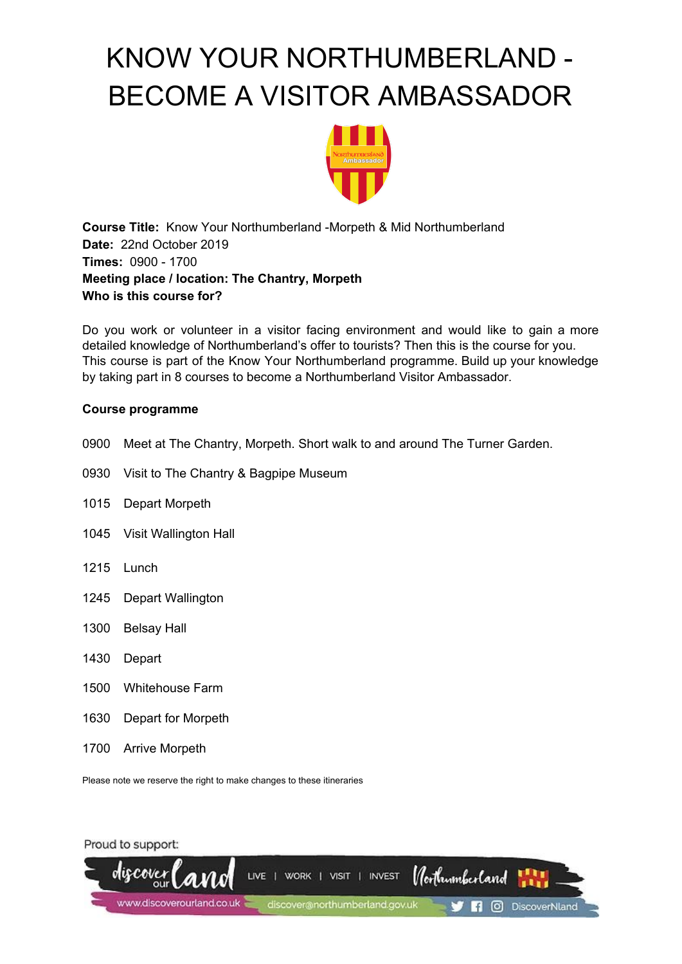

**Course Title:** Know Your Northumberland -Morpeth & Mid Northumberland **Date:** 22nd October 2019 **Times:** 0900 - 1700 **Meeting place / location: The Chantry, Morpeth Who is this course for?**

Do you work or volunteer in a visitor facing environment and would like to gain a more detailed knowledge of Northumberland's offer to tourists? Then this is the course for you. This course is part of the Know Your Northumberland programme. Build up your knowledge by taking part in 8 courses to become a Northumberland Visitor Ambassador.

## **Course programme**

- 0900 Meet at The Chantry, Morpeth. Short walk to and around The Turner Garden.
- 0930 Visit to The Chantry & Bagpipe Museum
- 1015 Depart Morpeth
- 1045 Visit Wallington Hall
- 1215 Lunch
- 1245 Depart Wallington
- 1300 Belsay Hall
- 1430 Depart
- 1500 Whitehouse Farm
- 1630 Depart for Morpeth
- 1700 Arrive Morpeth

Please note we reserve the right to make changes to these itineraries

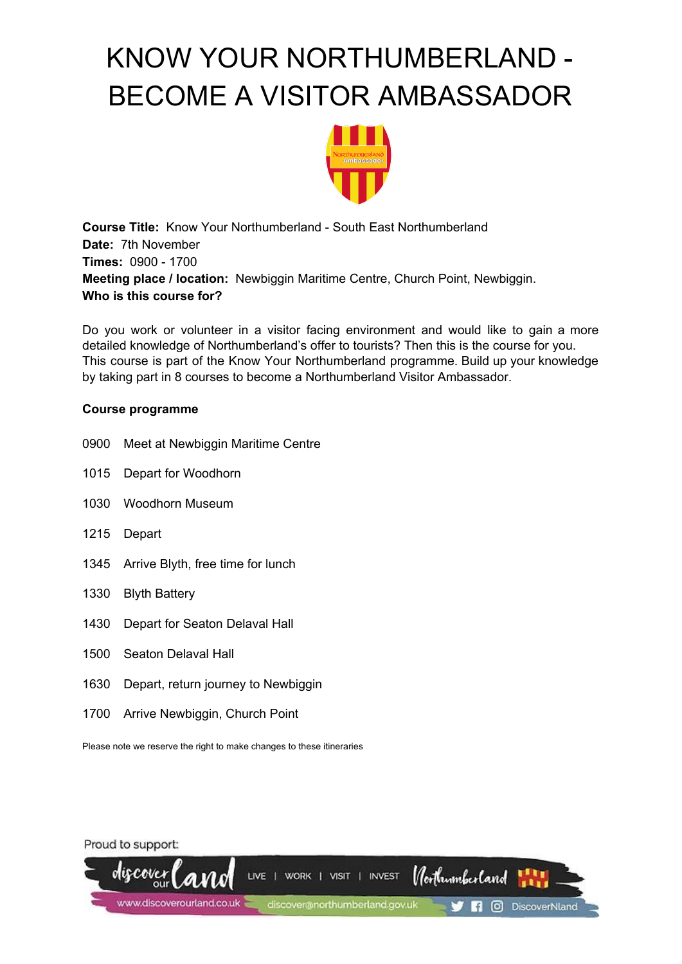

**Course Title:** Know Your Northumberland - South East Northumberland **Date:** 7th November **Times:** 0900 - 1700 **Meeting place / location:** Newbiggin Maritime Centre, Church Point, Newbiggin. **Who is this course for?**

Do you work or volunteer in a visitor facing environment and would like to gain a more detailed knowledge of Northumberland's offer to tourists? Then this is the course for you. This course is part of the Know Your Northumberland programme. Build up your knowledge by taking part in 8 courses to become a Northumberland Visitor Ambassador.

## **Course programme**

- 0900 Meet at Newbiggin Maritime Centre
- 1015 Depart for Woodhorn
- 1030 Woodhorn Museum
- 1215 Depart
- 1345 Arrive Blyth, free time for lunch
- 1330 Blyth Battery
- 1430 Depart for Seaton Delaval Hall
- 1500 Seaton Delaval Hall
- 1630 Depart, return journey to Newbiggin
- 1700 Arrive Newbiggin, Church Point

Please note we reserve the right to make changes to these itineraries

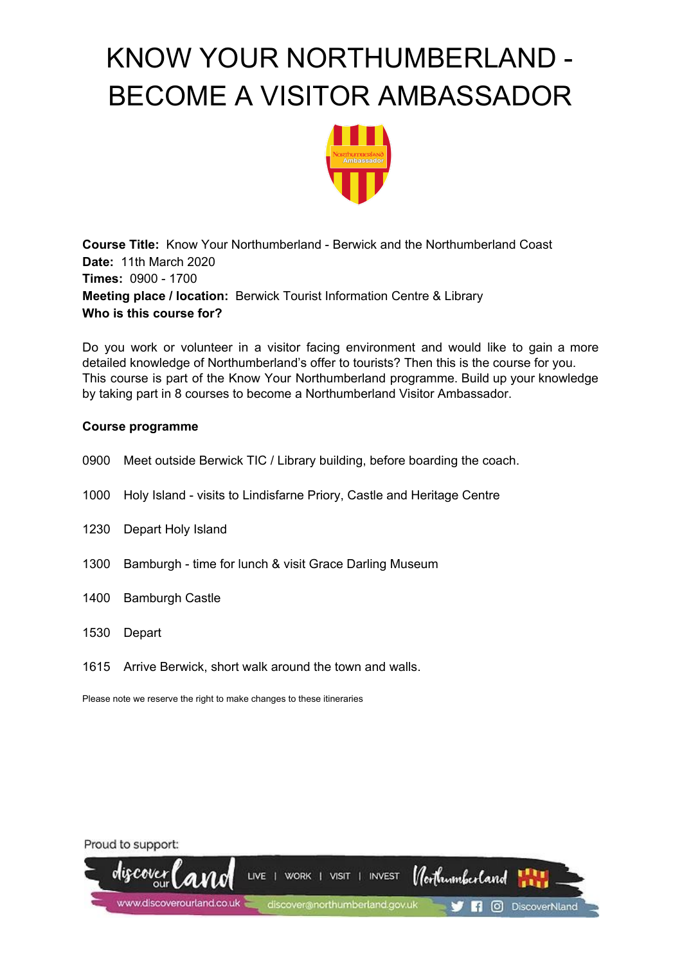

**Course Title:** Know Your Northumberland - Berwick and the Northumberland Coast **Date:** 11th March 2020 **Times:** 0900 - 1700 **Meeting place / location:** Berwick Tourist Information Centre & Library **Who is this course for?**

Do you work or volunteer in a visitor facing environment and would like to gain a more detailed knowledge of Northumberland's offer to tourists? Then this is the course for you. This course is part of the Know Your Northumberland programme. Build up your knowledge by taking part in 8 courses to become a Northumberland Visitor Ambassador.

## **Course programme**

- 0900 Meet outside Berwick TIC / Library building, before boarding the coach.
- 1000 Holy Island visits to Lindisfarne Priory, Castle and Heritage Centre
- 1230 Depart Holy Island
- 1300 Bamburgh time for lunch & visit Grace Darling Museum
- 1400 Bamburgh Castle
- 1530 Depart
- 1615 Arrive Berwick, short walk around the town and walls.

Please note we reserve the right to make changes to these itineraries

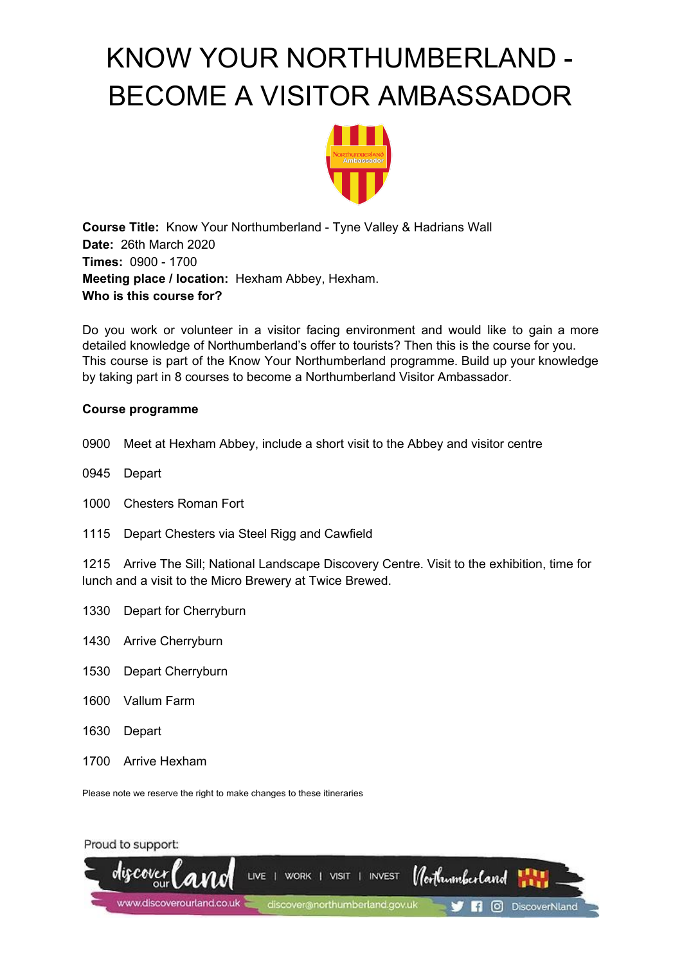

**Course Title:** Know Your Northumberland - Tyne Valley & Hadrians Wall **Date:** 26th March 2020 **Times:** 0900 - 1700 **Meeting place / location:** Hexham Abbey, Hexham. **Who is this course for?**

Do you work or volunteer in a visitor facing environment and would like to gain a more detailed knowledge of Northumberland's offer to tourists? Then this is the course for you. This course is part of the Know Your Northumberland programme. Build up your knowledge by taking part in 8 courses to become a Northumberland Visitor Ambassador.

## **Course programme**

- 0900 Meet at Hexham Abbey, include a short visit to the Abbey and visitor centre
- 0945 Depart
- 1000 Chesters Roman Fort
- 1115 Depart Chesters via Steel Rigg and Cawfield

1215 Arrive The Sill; National Landscape Discovery Centre. Visit to the exhibition, time for lunch and a visit to the Micro Brewery at Twice Brewed.

- 1330 Depart for Cherryburn
- 1430 Arrive Cherryburn
- 1530 Depart Cherryburn
- 1600 Vallum Farm
- 1630 Depart
- 1700 Arrive Hexham

Please note we reserve the right to make changes to these itineraries